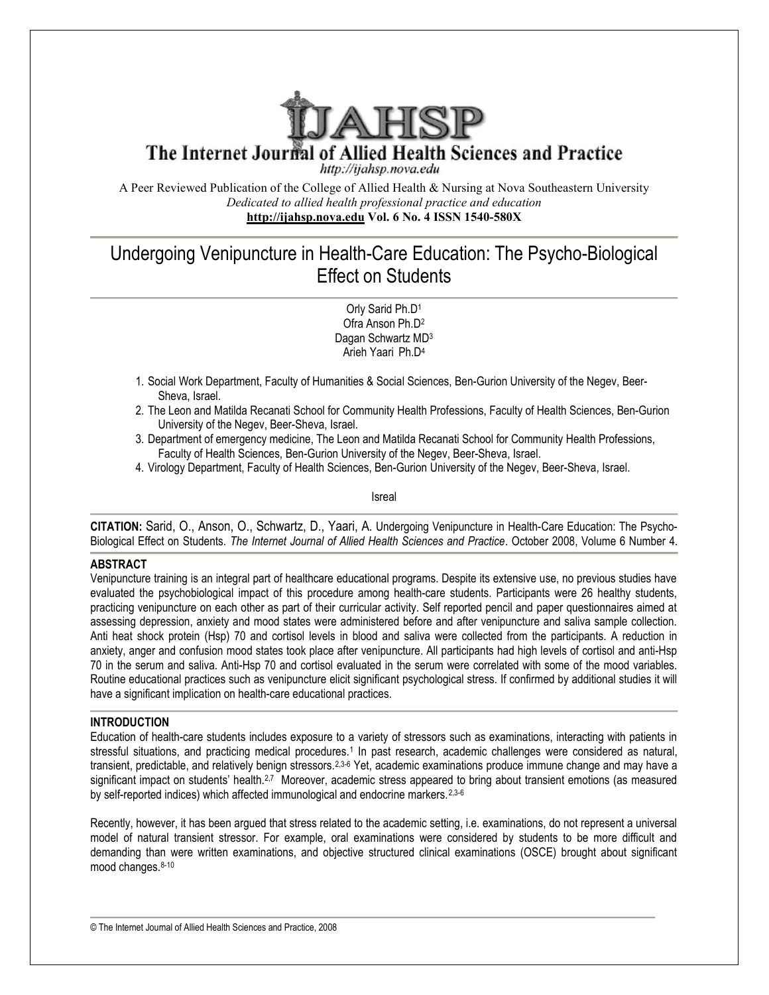

The Internet Journal of Allied Health Sciences and Practice

http://ijahsp.nova.edu

A Peer Reviewed Publication of the College of Allied Health & Nursing at Nova Southeastern University *Dedicated to allied health professional practice and education* **<http://ijahsp.nova.edu> Vol. 6 No. 4 ISSN 1540-580X** 

# Undergoing Venipuncture in Health-Care Education: The Psycho-Biological Effect on Students

Orly Sarid Ph.D<sup>1</sup> Ofra Anson Ph.D<sup>2</sup> Dagan Schwartz MD<sup>3</sup> Arieh Yaari Ph.D<sup>4</sup>

- 1. Social Work Department, Faculty of Humanities & Social Sciences, Ben-Gurion University of the Negev, Beer-Sheva, Israel.
- 2. The Leon and Matilda Recanati School for Community Health Professions, Faculty of Health Sciences, Ben-Gurion University of the Negev, Beer-Sheva, Israel.
- 3. Department of emergency medicine, The Leon and Matilda Recanati School for Community Health Professions, Faculty of Health Sciences, Ben-Gurion University of the Negev, Beer-Sheva, Israel.
- 4. Virology Department, Faculty of Health Sciences, Ben-Gurion University of the Negev, Beer-Sheva, Israel.

Isreal

**CITATION:** Sarid, O., Anson, O., Schwartz, D., Yaari, A. Undergoing Venipuncture in Health-Care Education: The Psycho-Biological Effect on Students. *The Internet Journal of Allied Health Sciences and Practice*. October 2008, Volume 6 Number 4.

## **ABSTRACT**

Venipuncture training is an integral part of healthcare educational programs. Despite its extensive use, no previous studies have evaluated the psychobiological impact of this procedure among health-care students. Participants were 26 healthy students, practicing venipuncture on each other as part of their curricular activity. Self reported pencil and paper questionnaires aimed at assessing depression, anxiety and mood states were administered before and after venipuncture and saliva sample collection. Anti heat shock protein (Hsp) 70 and cortisol levels in blood and saliva were collected from the participants. A reduction in anxiety, anger and confusion mood states took place after venipuncture. All participants had high levels of cortisol and anti-Hsp 70 in the serum and saliva. Anti-Hsp 70 and cortisol evaluated in the serum were correlated with some of the mood variables. Routine educational practices such as venipuncture elicit significant psychological stress. If confirmed by additional studies it will have a significant implication on health-care educational practices.

#### **INTRODUCTION**

Education of health-care students includes exposure to a variety of stressors such as examinations, interacting with patients in stressful situations, and practicing medical procedures.<sup>1</sup> In past research, academic challenges were considered as natural, transient, predictable, and relatively benign stressors.<sup>2,3-6</sup> Yet, academic examinations produce immune change and may have a significant impact on students' health.<sup>2,7</sup> Moreover, academic stress appeared to bring about transient emotions (as measured by self-reported indices) which affected immunological and endocrine markers.<sup>2,3-6</sup>

Recently, however, it has been argued that stress related to the academic setting, i.e. examinations, do not represent a universal model of natural transient stressor. For example, oral examinations were considered by students to be more difficult and demanding than were written examinations, and objective structured clinical examinations (OSCE) brought about significant mood changes. 8-10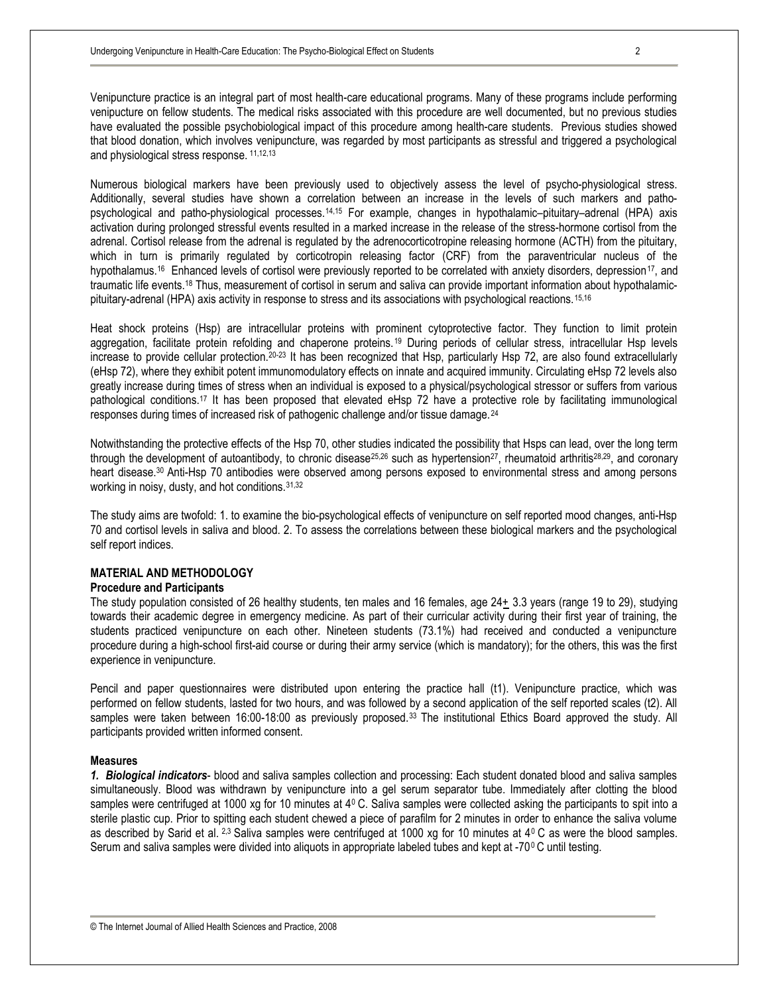Venipuncture practice is an integral part of most health-care educational programs. Many of these programs include performing venipucture on fellow students. The medical risks associated with this procedure are well documented, but no previous studies have evaluated the possible psychobiological impact of this procedure among health-care students. Previous studies showed that blood donation, which involves venipuncture, was regarded by most participants as stressful and triggered a psychological and physiological stress response. 11,12,13

Numerous biological markers have been previously used to objectively assess the level of psycho-physiological stress. Additionally, several studies have shown a correlation between an increase in the levels of such markers and pathopsychological and patho-physiological processes.14,15 For example, changes in hypothalamic–pituitary–adrenal (HPA) axis activation during prolonged stressful events resulted in a marked increase in the release of the stress-hormone cortisol from the adrenal. Cortisol release from the adrenal is regulated by the adrenocorticotropine releasing hormone (ACTH) from the pituitary, which in turn is primarily regulated by corticotropin releasing factor (CRF) from the paraventricular nucleus of the hypothalamus.<sup>16</sup> Enhanced levels of cortisol were previously reported to be correlated with anxiety disorders, depression<sup>17</sup>, and traumatic life events.<sup>18</sup> Thus, measurement of cortisol in serum and saliva can provide important information about hypothalamicpituitary-adrenal (HPA) axis activity in response to stress and its associations with psychological reactions.15,16

Heat shock proteins (Hsp) are intracellular proteins with prominent cytoprotective factor. They function to limit protein aggregation, facilitate protein refolding and chaperone proteins.<sup>19</sup> During periods of cellular stress, intracellular Hsp levels increase to provide cellular protection.<sup>20-23</sup> It has been recognized that Hsp, particularly Hsp 72, are also found extracellularly (eHsp 72), where they exhibit potent immunomodulatory effects on innate and acquired immunity. Circulating eHsp 72 levels also greatly increase during times of stress when an individual is exposed to a physical/psychological stressor or suffers from various pathological conditions.<sup>17</sup> It has been proposed that elevated eHsp 72 have a protective role by facilitating immunological responses during times of increased risk of pathogenic challenge and/or tissue damage.<sup>24</sup>

Notwithstanding the protective effects of the Hsp 70, other studies indicated the possibility that Hsps can lead, over the long term through the development of autoantibody, to chronic disease<sup>25,26</sup> such as hypertension<sup>27</sup>, rheumatoid arthritis<sup>28,29</sup>, and coronary heart disease.<sup>30</sup> Anti-Hsp 70 antibodies were observed among persons exposed to environmental stress and among persons working in noisy, dusty, and hot conditions.31,32

The study aims are twofold: 1. to examine the bio-psychological effects of venipuncture on self reported mood changes, anti-Hsp 70 and cortisol levels in saliva and blood. 2. To assess the correlations between these biological markers and the psychological self report indices.

#### **MATERIAL AND METHODOLOGY**

#### **Procedure and Participants**

The study population consisted of 26 healthy students, ten males and 16 females, age 24+ 3.3 years (range 19 to 29), studying towards their academic degree in emergency medicine. As part of their curricular activity during their first year of training, the students practiced venipuncture on each other. Nineteen students (73.1%) had received and conducted a venipuncture procedure during a high-school first-aid course or during their army service (which is mandatory); for the others, this was the first experience in venipuncture.

Pencil and paper questionnaires were distributed upon entering the practice hall (t1). Venipuncture practice, which was performed on fellow students, lasted for two hours, and was followed by a second application of the self reported scales (t2). All samples were taken between 16:00-18:00 as previously proposed.<sup>33</sup> The institutional Ethics Board approved the study. All participants provided written informed consent.

#### **Measures**

*1. Biological indicators*- blood and saliva samples collection and processing: Each student donated blood and saliva samples simultaneously. Blood was withdrawn by venipuncture into a gel serum separator tube. Immediately after clotting the blood samples were centrifuged at 1000 xg for 10 minutes at  $4^{\circ}$  C. Saliva samples were collected asking the participants to spit into a sterile plastic cup. Prior to spitting each student chewed a piece of parafilm for 2 minutes in order to enhance the saliva volume as described by Sarid et al.  $2.3$  Saliva samples were centrifuged at 1000 xg for 10 minutes at  $4^{\circ}$ C as were the blood samples. Serum and saliva samples were divided into aliquots in appropriate labeled tubes and kept at -70°C until testing.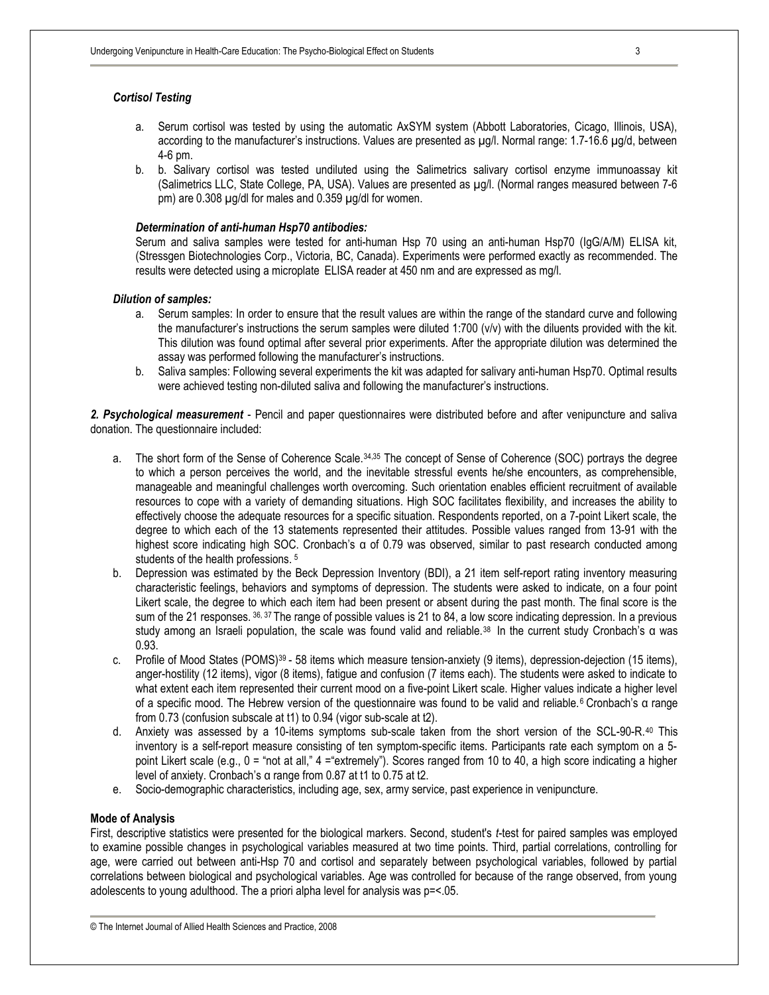## *Cortisol Testing*

- a. Serum cortisol was tested by using the automatic AxSYM system (Abbott Laboratories, Cicago, Illinois, USA), according to the manufacturer's instructions. Values are presented as  $\mu$ g/l. Normal range: 1.7-16.6  $\mu$ g/d, between 4-6 pm.
- b. b. Salivary cortisol was tested undiluted using the Salimetrics salivary cortisol enzyme immunoassay kit (Salimetrics LLC, State College, PA, USA). Values are presented as µg/l. (Normal ranges measured between 7-6 pm) are 0.308 µg/dl for males and 0.359 µg/dl for women.

#### *Determination of anti-human Hsp70 antibodies:*

Serum and saliva samples were tested for anti-human Hsp 70 using an anti-human Hsp70 (IgG/A/M) ELISA kit, (Stressgen Biotechnologies Corp., Victoria, BC, Canada). Experiments were performed exactly as recommended. The results were detected using a microplate ELISA reader at 450 nm and are expressed as mg/l.

#### *Dilution of samples:*

- a. Serum samples: In order to ensure that the result values are within the range of the standard curve and following the manufacturer's instructions the serum samples were diluted 1:700 (v/v) with the diluents provided with the kit. This dilution was found optimal after several prior experiments. After the appropriate dilution was determined the assay was performed following the manufacturer's instructions.
- b. Saliva samples: Following several experiments the kit was adapted for salivary anti-human Hsp70. Optimal results were achieved testing non-diluted saliva and following the manufacturer's instructions.

*2. Psychological measurement* - Pencil and paper questionnaires were distributed before and after venipuncture and saliva donation. The questionnaire included:

- a. The short form of the Sense of Coherence Scale.34,35 The concept of Sense of Coherence (SOC) portrays the degree to which a person perceives the world, and the inevitable stressful events he/she encounters, as comprehensible, manageable and meaningful challenges worth overcoming. Such orientation enables efficient recruitment of available resources to cope with a variety of demanding situations. High SOC facilitates flexibility, and increases the ability to effectively choose the adequate resources for a specific situation. Respondents reported, on a 7-point Likert scale, the degree to which each of the 13 statements represented their attitudes. Possible values ranged from 13-91 with the highest score indicating high SOC. Cronbach's α of 0.79 was observed, similar to past research conducted among students of the health professions. <sup>5</sup>
- b. Depression was estimated by the Beck Depression Inventory (BDI), a 21 item self-report rating inventory measuring characteristic feelings, behaviors and symptoms of depression. The students were asked to indicate, on a four point Likert scale, the degree to which each item had been present or absent during the past month. The final score is the sum of the 21 responses.  $36, 37$  The range of possible values is 21 to 84, a low score indicating depression. In a previous study among an Israeli population, the scale was found valid and reliable.38 In the current study Cronbach's α was 0.93.
- c. Profile of Mood States (POMS)39 58 items which measure tension-anxiety (9 items), depression-dejection (15 items), anger-hostility (12 items), vigor (8 items), fatigue and confusion (7 items each). The students were asked to indicate to what extent each item represented their current mood on a five-point Likert scale. Higher values indicate a higher level of a specific mood. The Hebrew version of the questionnaire was found to be valid and reliable.<sup>6</sup> Cronbach's α range from 0.73 (confusion subscale at t1) to 0.94 (vigor sub-scale at t2).
- d. Anxiety was assessed by a 10-items symptoms sub-scale taken from the short version of the SCL-90-R.<sup>40</sup> This inventory is a self-report measure consisting of ten symptom-specific items. Participants rate each symptom on a 5 point Likert scale (e.g., 0 = "not at all," 4 ="extremely"). Scores ranged from 10 to 40, a high score indicating a higher level of anxiety. Cronbach's α range from 0.87 at t1 to 0.75 at t2.
- e. Socio-demographic characteristics, including age, sex, army service, past experience in venipuncture.

#### **Mode of Analysis**

First, descriptive statistics were presented for the biological markers. Second, student's *t*-test for paired samples was employed to examine possible changes in psychological variables measured at two time points. Third, partial correlations, controlling for age, were carried out between anti-Hsp 70 and cortisol and separately between psychological variables, followed by partial correlations between biological and psychological variables. Age was controlled for because of the range observed, from young adolescents to young adulthood. The a priori alpha level for analysis was p=<.05.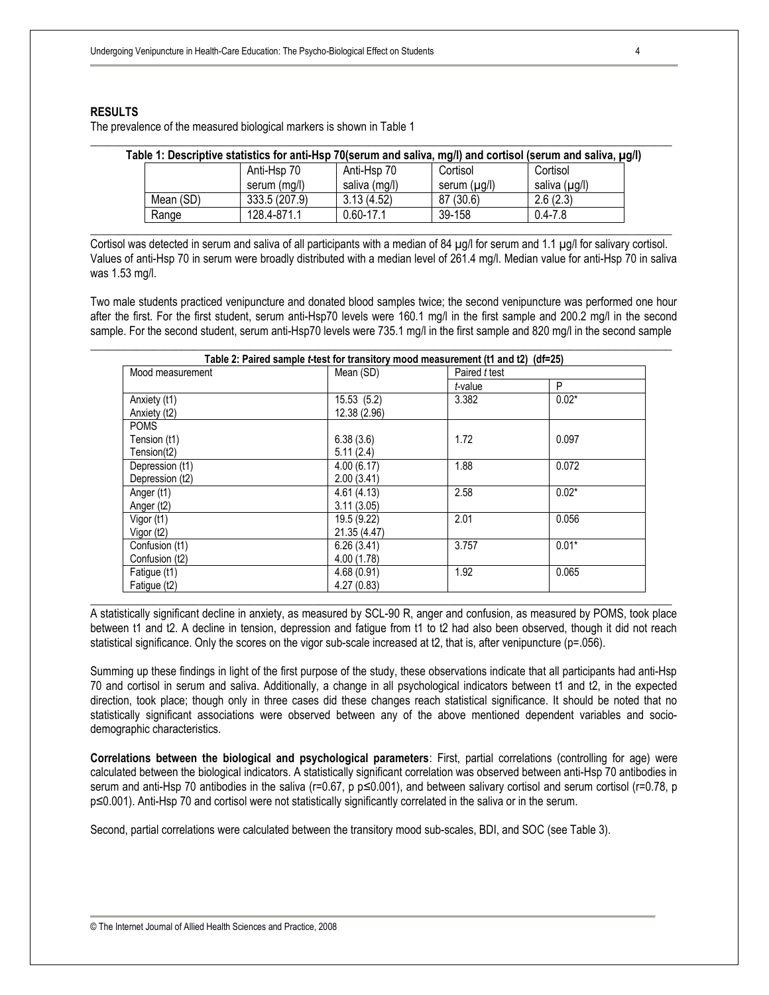### **RESULTS**

The prevalence of the measured biological markers is shown in Table 1

|           | Anti-Hsp 70   | Anti-Hsp 70   | Cortisol     | Cortisol      |
|-----------|---------------|---------------|--------------|---------------|
|           | serum (ma/l)  | saliva (mg/l) | serum (µg/l) | saliva (µg/l) |
| Mean (SD) | 333.5 (207.9) | 3.13(4.52)    | 87 (30.6)    | 2.6(2.3)      |
| Range     | 128.4-871.1   | $0.60 - 17.1$ | 39-158       | $0.4 - 7.8$   |

\_\_\_\_\_\_\_\_\_\_\_\_\_\_\_\_\_\_\_\_\_\_\_\_\_\_\_\_\_\_\_\_\_\_\_\_\_\_\_\_\_\_\_\_\_\_\_\_\_\_\_\_\_\_\_\_\_\_\_\_\_\_\_\_\_\_\_\_\_\_\_\_\_\_\_\_\_\_\_\_\_\_\_\_\_\_\_\_\_\_\_\_\_\_\_\_\_\_\_\_\_\_

Cortisol was detected in serum and saliva of all participants with a median of 84 µg/l for serum and 1.1 µg/l for salivary cortisol. Values of anti-Hsp 70 in serum were broadly distributed with a median level of 261.4 mg/l. Median value for anti-Hsp 70 in saliva was 1.53 mg/l.

Two male students practiced venipuncture and donated blood samples twice; the second venipuncture was performed one hour after the first. For the first student, serum anti-Hsp70 levels were 160.1 mg/l in the first sample and 200.2 mg/l in the second sample. For the second student, serum anti-Hsp70 levels were 735.1 mg/l in the first sample and 820 mg/l in the second sample

| Mood measurement | Mean (SD)    | Paired t test |         |  |  |
|------------------|--------------|---------------|---------|--|--|
|                  |              | t-value       | P       |  |  |
| Anxiety (t1)     | 15.53(5.2)   | 3.382         | $0.02*$ |  |  |
| Anxiety (t2)     | 12.38 (2.96) |               |         |  |  |
| <b>POMS</b>      |              |               |         |  |  |
| Tension (t1)     | 6.38(3.6)    | 1.72          | 0.097   |  |  |
| Tension(t2)      | 5.11(2.4)    |               |         |  |  |
| Depression (t1)  | 4.00(6.17)   | 1.88          | 0.072   |  |  |
| Depression (t2)  | 2.00(3.41)   |               |         |  |  |
| Anger (t1)       | 4.61(4.13)   | 2.58          | $0.02*$ |  |  |
| Anger (t2)       | 3.11(3.05)   |               |         |  |  |
| Vigor (t1)       | 19.5 (9.22)  | 2.01          | 0.056   |  |  |
| Vigor (t2)       | 21.35 (4.47) |               |         |  |  |
| Confusion (t1)   | 6.26(3.41)   | 3.757         | $0.01*$ |  |  |
| Confusion (t2)   | 4.00(1.78)   |               |         |  |  |
| Fatigue (t1)     | 4.68(0.91)   | 1.92          | 0.065   |  |  |
| Fatigue (t2)     | 4.27(0.83)   |               |         |  |  |

A statistically significant decline in anxiety, as measured by SCL-90 R, anger and confusion, as measured by POMS, took place between t1 and t2. A decline in tension, depression and fatigue from t1 to t2 had also been observed, though it did not reach statistical significance. Only the scores on the vigor sub-scale increased at t2, that is, after venipuncture (p=.056).

Summing up these findings in light of the first purpose of the study, these observations indicate that all participants had anti-Hsp 70 and cortisol in serum and saliva. Additionally, a change in all psychological indicators between t1 and t2, in the expected direction, took place; though only in three cases did these changes reach statistical significance. It should be noted that no statistically significant associations were observed between any of the above mentioned dependent variables and sociodemographic characteristics.

**Correlations between the biological and psychological parameters**: First, partial correlations (controlling for age) were calculated between the biological indicators. A statistically significant correlation was observed between anti-Hsp 70 antibodies in serum and anti-Hsp 70 antibodies in the saliva (r=0.67, p p≤0.001), and between salivary cortisol and serum cortisol (r=0.78, p p≤0.001). Anti-Hsp 70 and cortisol were not statistically significantly correlated in the saliva or in the serum.

Second, partial correlations were calculated between the transitory mood sub-scales, BDI, and SOC (see Table 3).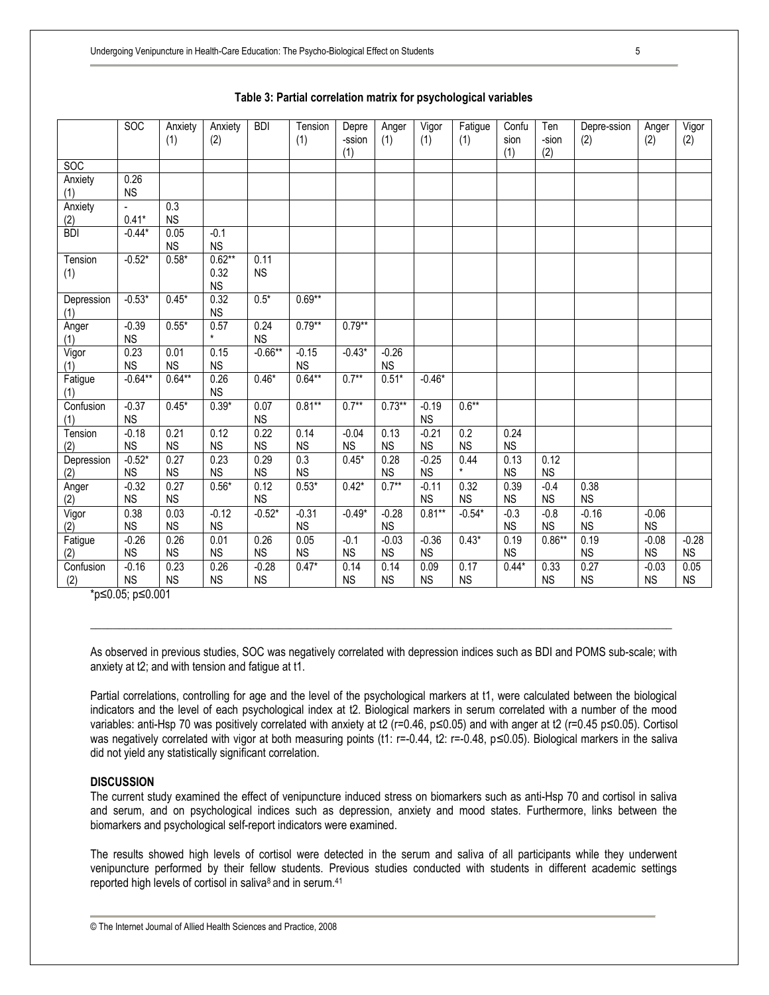|                   | <b>SOC</b>            | Anxiety<br>(1)    | Anxiety<br>(2)                | <b>BDI</b>           | Tension<br>(1)                | Depre<br>-ssion<br>(1) | Anger<br>(1)         | Vigor<br>(1)         | Fatigue<br>(1)                | Confu<br>sion<br>(1) | Ten<br>-sion<br>(2) | Depre-ssion<br>(2)   | Anger<br>(2)         | Vigor<br>(2)         |
|-------------------|-----------------------|-------------------|-------------------------------|----------------------|-------------------------------|------------------------|----------------------|----------------------|-------------------------------|----------------------|---------------------|----------------------|----------------------|----------------------|
| SO <sub>C</sub>   |                       |                   |                               |                      |                               |                        |                      |                      |                               |                      |                     |                      |                      |                      |
| Anxiety<br>(1)    | 0.26<br><b>NS</b>     |                   |                               |                      |                               |                        |                      |                      |                               |                      |                     |                      |                      |                      |
| Anxiety<br>(2)    | $0.41*$               | 0.3<br><b>NS</b>  |                               |                      |                               |                        |                      |                      |                               |                      |                     |                      |                      |                      |
| <b>BDI</b>        | $-0.44*$              | 0.05<br><b>NS</b> | $-0.1$<br><b>NS</b>           |                      |                               |                        |                      |                      |                               |                      |                     |                      |                      |                      |
| Tension<br>(1)    | $-0.52*$              | $0.58*$           | $0.62**$<br>0.32<br><b>NS</b> | 0.11<br><b>NS</b>    |                               |                        |                      |                      |                               |                      |                     |                      |                      |                      |
| Depression<br>(1) | $-0.53*$              | $0.45*$           | 0.32<br><b>NS</b>             | $0.5*$               | $0.69**$                      |                        |                      |                      |                               |                      |                     |                      |                      |                      |
| Anger<br>(1)      | $-0.39$<br><b>NS</b>  | $0.55*$           | 0.57                          | 0.24<br><b>NS</b>    | $0.79**$                      | $0.79**$               |                      |                      |                               |                      |                     |                      |                      |                      |
| Vigor<br>(1)      | 0.23<br><b>NS</b>     | 0.01<br><b>NS</b> | 0.15<br><b>NS</b>             | $-0.66**$            | $-0.15$<br><b>NS</b>          | $-0.43*$               | $-0.26$<br><b>NS</b> |                      |                               |                      |                     |                      |                      |                      |
| Fatigue<br>(1)    | $-0.64**$             | $0.64**$          | 0.26<br><b>NS</b>             | $0.46*$              | $0.64**$                      | $0.7***$               | $0.51*$              | $-0.46*$             |                               |                      |                     |                      |                      |                      |
| Confusion<br>(1)  | $-0.37$<br>${\sf NS}$ | $0.45*$           | $0.39*$                       | 0.07<br><b>NS</b>    | $0.81**$                      | $0.7**$                | $0.73**$             | $-0.19$<br><b>NS</b> | $0.6**$                       |                      |                     |                      |                      |                      |
| Tension<br>(2)    | $-0.18$<br><b>NS</b>  | 0.21<br><b>NS</b> | 0.12<br><b>NS</b>             | 0.22<br><b>NS</b>    | 0.14<br><b>NS</b>             | $-0.04$<br><b>NS</b>   | 0.13<br><b>NS</b>    | $-0.21$<br><b>NS</b> | $\overline{0.2}$<br><b>NS</b> | 0.24<br><b>NS</b>    |                     |                      |                      |                      |
| Depression<br>(2) | $-0.52*$<br><b>NS</b> | 0.27<br><b>NS</b> | 0.23<br><b>NS</b>             | 0.29<br><b>NS</b>    | $\overline{0.3}$<br><b>NS</b> | $0.45*$                | 0.28<br><b>NS</b>    | $-0.25$<br><b>NS</b> | 0.44<br>$\star$               | 0.13<br><b>NS</b>    | 0.12<br><b>NS</b>   |                      |                      |                      |
| Anger<br>(2)      | $-0.32$<br><b>NS</b>  | 0.27<br><b>NS</b> | $0.56*$                       | 0.12<br><b>NS</b>    | $0.53*$                       | $0.42*$                | $0.7***$             | $-0.11$<br><b>NS</b> | 0.32<br><b>NS</b>             | 0.39<br><b>NS</b>    | $-0.4$<br><b>NS</b> | 0.38<br><b>NS</b>    |                      |                      |
| Vigor<br>(2)      | 0.38<br><b>NS</b>     | 0.03<br><b>NS</b> | $-0.12$<br><b>NS</b>          | $-0.52*$             | $-0.31$<br><b>NS</b>          | $-0.49*$               | $-0.28$<br><b>NS</b> | $0.81**$             | $-0.54*$                      | $-0.3$<br><b>NS</b>  | $-0.8$<br><b>NS</b> | $-0.16$<br><b>NS</b> | $-0.06$<br><b>NS</b> |                      |
| Fatigue<br>(2)    | $-0.26$<br><b>NS</b>  | 0.26<br><b>NS</b> | 0.01<br><b>NS</b>             | 0.26<br><b>NS</b>    | 0.05<br><b>NS</b>             | $-0.1$<br>NS           | $-0.03$<br><b>NS</b> | $-0.36$<br><b>NS</b> | $0.43*$                       | 0.19<br><b>NS</b>    | $0.86**$            | 0.19<br><b>NS</b>    | $-0.08$<br><b>NS</b> | $-0.28$<br><b>NS</b> |
| Confusion<br>(2)  | $-0.16$<br><b>NS</b>  | 0.23<br><b>NS</b> | 0.26<br><b>NS</b>             | $-0.28$<br><b>NS</b> | $0.47*$                       | 0.14<br><b>NS</b>      | 0.14<br><b>NS</b>    | 0.09<br><b>NS</b>    | 0.17<br><b>NS</b>             | $0.44*$              | 0.33<br><b>NS</b>   | 0.27<br><b>NS</b>    | $-0.03$<br><b>NS</b> | 0.05<br><b>NS</b>    |

## **Table 3: Partial correlation matrix for psychological variables**

\*p≤0.05; p≤0.001

As observed in previous studies, SOC was negatively correlated with depression indices such as BDI and POMS sub-scale; with anxiety at t2; and with tension and fatigue at t1.

\_\_\_\_\_\_\_\_\_\_\_\_\_\_\_\_\_\_\_\_\_\_\_\_\_\_\_\_\_\_\_\_\_\_\_\_\_\_\_\_\_\_\_\_\_\_\_\_\_\_\_\_\_\_\_\_\_\_\_\_\_\_\_\_\_\_\_\_\_\_\_\_\_\_\_\_\_\_\_\_\_\_\_\_\_\_\_\_\_\_\_\_\_\_\_\_\_\_\_\_\_\_

Partial correlations, controlling for age and the level of the psychological markers at t1, were calculated between the biological indicators and the level of each psychological index at t2. Biological markers in serum correlated with a number of the mood variables: anti-Hsp 70 was positively correlated with anxiety at t2 (r=0.46, p≤0.05) and with anger at t2 (r=0.45 p≤0.05). Cortisol was negatively correlated with vigor at both measuring points (t1: r=-0.44, t2: r=-0.48, p≤0.05). Biological markers in the saliva did not yield any statistically significant correlation.

#### **DISCUSSION**

The current study examined the effect of venipuncture induced stress on biomarkers such as anti-Hsp 70 and cortisol in saliva and serum, and on psychological indices such as depression, anxiety and mood states. Furthermore, links between the biomarkers and psychological self-report indicators were examined.

The results showed high levels of cortisol were detected in the serum and saliva of all participants while they underwent venipuncture performed by their fellow students. Previous studies conducted with students in different academic settings reported high levels of cortisol in saliva<sup>8</sup> and in serum.<sup>41</sup>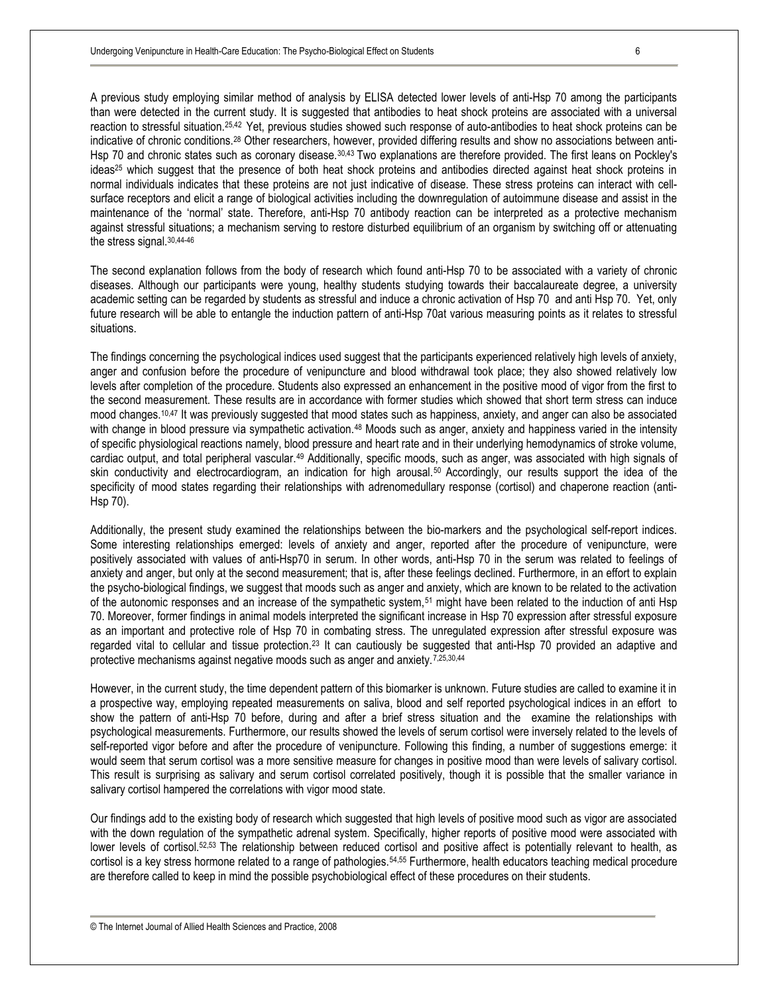A previous study employing similar method of analysis by ELISA detected lower levels of anti-Hsp 70 among the participants than were detected in the current study. It is suggested that antibodies to heat shock proteins are associated with a universal reaction to stressful situation.25,42 Yet, previous studies showed such response of auto-antibodies to heat shock proteins can be indicative of chronic conditions.<sup>28</sup> Other researchers, however, provided differing results and show no associations between anti-Hsp 70 and chronic states such as coronary disease.30,43 Two explanations are therefore provided. The first leans on Pockley's ideas<sup>25</sup> which suggest that the presence of both heat shock proteins and antibodies directed against heat shock proteins in normal individuals indicates that these proteins are not just indicative of disease. These stress proteins can interact with cellsurface receptors and elicit a range of biological activities including the downregulation of autoimmune disease and assist in the maintenance of the 'normal' state. Therefore, anti-Hsp 70 antibody reaction can be interpreted as a protective mechanism against stressful situations; a mechanism serving to restore disturbed equilibrium of an organism by switching off or attenuating the stress signal.30,44-46

The second explanation follows from the body of research which found anti-Hsp 70 to be associated with a variety of chronic diseases. Although our participants were young, healthy students studying towards their baccalaureate degree, a university academic setting can be regarded by students as stressful and induce a chronic activation of Hsp 70 and anti Hsp 70. Yet, only future research will be able to entangle the induction pattern of anti-Hsp 70at various measuring points as it relates to stressful situations.

The findings concerning the psychological indices used suggest that the participants experienced relatively high levels of anxiety, anger and confusion before the procedure of venipuncture and blood withdrawal took place; they also showed relatively low levels after completion of the procedure. Students also expressed an enhancement in the positive mood of vigor from the first to the second measurement. These results are in accordance with former studies which showed that short term stress can induce mood changes.<sup>10,47</sup> It was previously suggested that mood states such as happiness, anxiety, and anger can also be associated with change in blood pressure via sympathetic activation.<sup>48</sup> Moods such as anger, anxiety and happiness varied in the intensity of specific physiological reactions namely, blood pressure and heart rate and in their underlying hemodynamics of stroke volume, cardiac output, and total peripheral vascular.<sup>49</sup> Additionally, specific moods, such as anger, was associated with high signals of skin conductivity and electrocardiogram, an indication for high arousal.<sup>50</sup> Accordingly, our results support the idea of the specificity of mood states regarding their relationships with adrenomedullary response (cortisol) and chaperone reaction (anti-Hsp 70).

Additionally, the present study examined the relationships between the bio-markers and the psychological self-report indices. Some interesting relationships emerged: levels of anxiety and anger, reported after the procedure of venipuncture, were positively associated with values of anti-Hsp70 in serum. In other words, anti-Hsp 70 in the serum was related to feelings of anxiety and anger, but only at the second measurement; that is, after these feelings declined. Furthermore, in an effort to explain the psycho-biological findings, we suggest that moods such as anger and anxiety, which are known to be related to the activation of the autonomic responses and an increase of the sympathetic system,<sup>51</sup> might have been related to the induction of anti Hsp 70. Moreover, former findings in animal models interpreted the significant increase in Hsp 70 expression after stressful exposure as an important and protective role of Hsp 70 in combating stress. The unregulated expression after stressful exposure was regarded vital to cellular and tissue protection.<sup>23</sup> It can cautiously be suggested that anti-Hsp 70 provided an adaptive and protective mechanisms against negative moods such as anger and anxiety.<sup>7,25,30,44</sup>

However, in the current study, the time dependent pattern of this biomarker is unknown. Future studies are called to examine it in a prospective way, employing repeated measurements on saliva, blood and self reported psychological indices in an effort to show the pattern of anti-Hsp 70 before, during and after a brief stress situation and the examine the relationships with psychological measurements. Furthermore, our results showed the levels of serum cortisol were inversely related to the levels of self-reported vigor before and after the procedure of venipuncture. Following this finding, a number of suggestions emerge: it would seem that serum cortisol was a more sensitive measure for changes in positive mood than were levels of salivary cortisol. This result is surprising as salivary and serum cortisol correlated positively, though it is possible that the smaller variance in salivary cortisol hampered the correlations with vigor mood state.

Our findings add to the existing body of research which suggested that high levels of positive mood such as vigor are associated with the down regulation of the sympathetic adrenal system. Specifically, higher reports of positive mood were associated with lower levels of cortisol.<sup>52,53</sup> The relationship between reduced cortisol and positive affect is potentially relevant to health, as cortisol is a key stress hormone related to a range of pathologies.54,55 Furthermore, health educators teaching medical procedure are therefore called to keep in mind the possible psychobiological effect of these procedures on their students.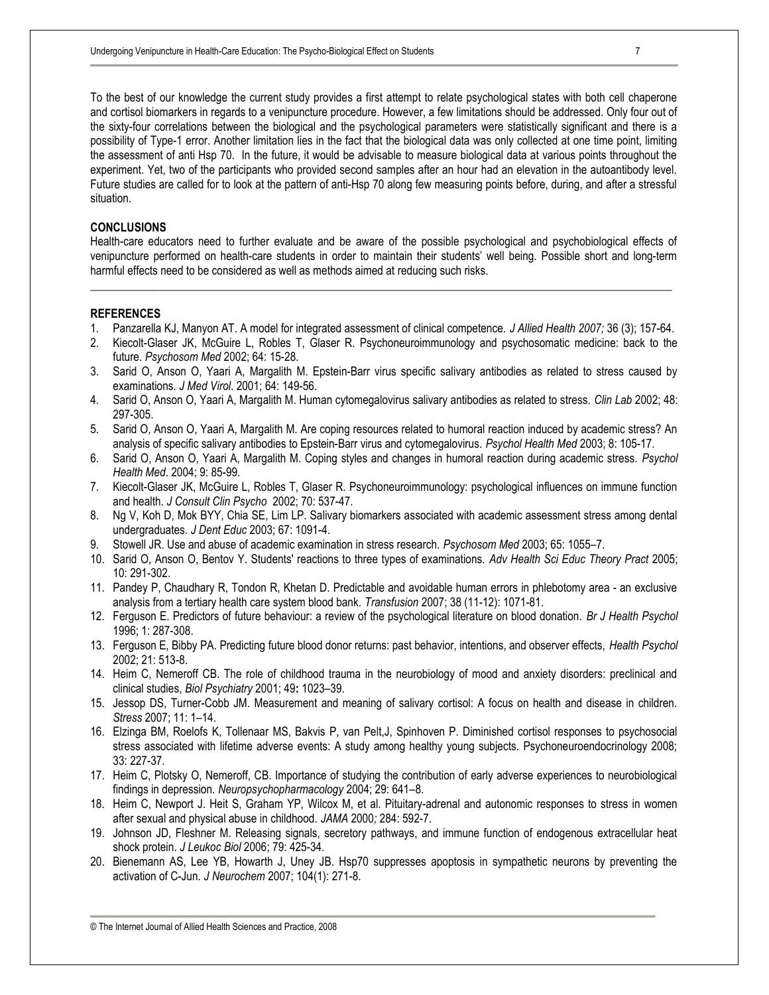To the best of our knowledge the current study provides a first attempt to relate psychological states with both cell chaperone and cortisol biomarkers in regards to a venipuncture procedure. However, a few limitations should be addressed. Only four out of the sixty-four correlations between the biological and the psychological parameters were statistically significant and there is a possibility of Type-1 error. Another limitation lies in the fact that the biological data was only collected at one time point, limiting the assessment of anti Hsp 70. In the future, it would be advisable to measure biological data at various points throughout the experiment. Yet, two of the participants who provided second samples after an hour had an elevation in the autoantibody level. Future studies are called for to look at the pattern of anti-Hsp 70 along few measuring points before, during, and after a stressful situation.

## **CONCLUSIONS**

Health-care educators need to further evaluate and be aware of the possible psychological and psychobiological effects of venipuncture performed on health-care students in order to maintain their students' well being. Possible short and long-term harmful effects need to be considered as well as methods aimed at reducing such risks.

**\_\_\_\_\_\_\_\_\_\_\_\_\_\_\_\_\_\_\_\_\_\_\_\_\_\_\_\_\_\_\_\_\_\_\_\_\_\_\_\_\_\_\_\_\_\_\_\_\_\_\_\_\_\_\_\_\_\_\_\_\_\_\_\_\_\_\_\_\_\_\_\_\_\_\_\_\_\_\_\_\_\_\_\_\_\_\_\_\_\_\_\_\_\_\_\_\_\_\_\_\_\_** 

#### **REFERENCES**

- 1. Panzarella KJ, Manyon AT. A model for integrated assessment of clinical competence. *J Allied Health 2007;* 36 (3); 157-64.
- 2. Kiecolt-Glaser JK, McGuire L, Robles T, Glaser R. Psychoneuroimmunology and psychosomatic medicine: back to the future. *Psychosom Med* 2002; 64: 15-28.
- 3. Sarid O, Anson O, Yaari A, Margalith M. Epstein-Barr virus specific salivary antibodies as related to stress caused by examinations. *J Med Virol*. 2001; 64: 149-56.
- 4. Sarid O, Anson O, Yaari A, Margalith M. Human cytomegalovirus salivary antibodies as related to stress. *Clin Lab* 2002; 48: 297-305.
- 5. Sarid O, Anson O, Yaari A, Margalith M. Are coping resources related to humoral reaction induced by academic stress? An analysis of specific salivary antibodies to Epstein-Barr virus and cytomegalovirus. *Psychol Health Med* 2003; 8: 105-17.
- 6. Sarid O, Anson O, Yaari A, Margalith M. Coping styles and changes in humoral reaction during academic stress. *Psychol Health Med*. 2004; 9: 85-99.
- 7. Kiecolt-Glaser JK, McGuire L, Robles T, Glaser R. Psychoneuroimmunology: psychological influences on immune function and health. *J Consult Clin Psycho* 2002; 70: 537-47.
- 8. Ng V, Koh D, Mok BYY, Chia SE, Lim LP. Salivary biomarkers associated with academic assessment stress among dental undergraduates. *J Dent Educ* 2003; 67: 1091-4.
- 9. Stowell JR. Use and abuse of academic examination in stress research. *Psychosom Med* 2003; 65: 1055–7.
- 10. Sarid O, Anson O, Bentov Y. Students' reactions to three types of examinations. *Adv Health Sci Educ Theory Pract* 2005; 10: 291-302.
- 11. Pandey P, Chaudhary R, Tondon R, Khetan D. Predictable and avoidable human errors in phlebotomy area an exclusive analysis from a tertiary health care system blood bank. *Transfusion* 2007; 38 (11-12): 1071-81.
- 12. Ferguson E. Predictors of future behaviour: a review of the psychological literature on blood donation. *Br J Health Psychol* 1996; 1: 287-308.
- 13. Ferguson E, Bibby PA. Predicting future blood donor returns: past behavior, intentions, and observer effects, *Health Psychol* 2002; 21: 513-8.
- 14. Heim C, Nemeroff CB. The role of childhood trauma in the neurobiology of mood and anxiety disorders: preclinical and clinical studies, *Biol Psychiatry* 2001; 49**:** 1023–39.
- 15. Jessop DS, Turner-Cobb JM. Measurement and meaning of salivary cortisol: A focus on health and disease in children. *Stress* 2007; 11: 1–14.
- 16. Elzinga BM, Roelofs K, Tollenaar MS, Bakvis P, van Pelt,J, Spinhoven P. Diminished cortisol responses to psychosocial stress associated with lifetime adverse events: A study among healthy young subjects. Psychoneuroendocrinology 2008; 33: 227-37.
- 17. Heim C, Plotsky O, Nemeroff, CB. Importance of studying the contribution of early adverse experiences to neurobiological findings in depression. *Neuropsychopharmacology* 2004; 29: 641–8.
- 18. Heim C, Newport J. Heit S, Graham YP, Wilcox M, et al. Pituitary-adrenal and autonomic responses to stress in women after sexual and physical abuse in childhood. *JAMA* 2000*;* 284: 592-7.
- 19. Johnson JD, Fleshner M. Releasing signals, secretory pathways, and immune function of endogenous extracellular heat shock protein. *J Leukoc Biol* 2006; 79: 425-34.
- 20. Bienemann AS, Lee YB, Howarth J, Uney JB. Hsp70 suppresses apoptosis in sympathetic neurons by preventing the activation of C-Jun. *J Neurochem* 2007; 104(1): 271-8.

<sup>©</sup> The Internet Journal of Allied Health Sciences and Practice, 2008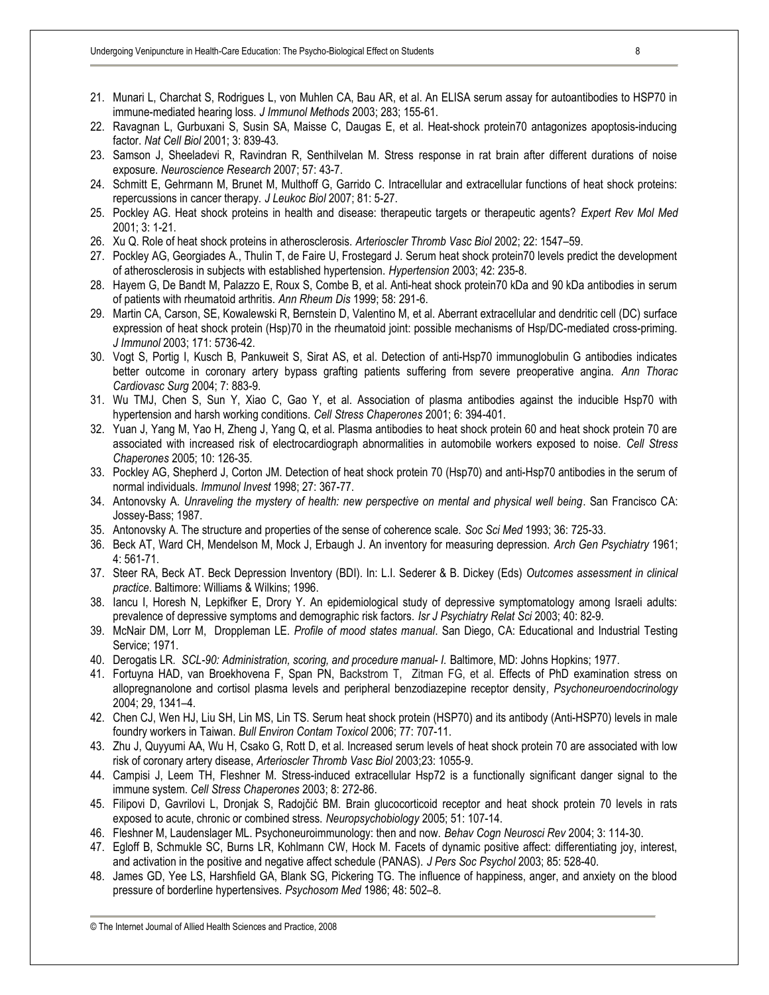- 21. Munari L, Charchat S, Rodrigues L, von Muhlen CA, Bau AR, et al. An ELISA serum assay for autoantibodies to HSP70 in immune-mediated hearing loss. *J Immunol Methods* 2003; 283; 155-61.
- 22. Ravagnan L, Gurbuxani S, Susin SA, Maisse C, Daugas E, et al. Heat-shock protein70 antagonizes apoptosis-inducing factor. *Nat Cell Biol* 2001; 3: 839-43.
- 23. Samson J, Sheeladevi R, Ravindran R, Senthilvelan M. Stress response in rat brain after different durations of noise exposure. *Neuroscience Research* 2007; 57: 43-7.
- 24. Schmitt E, Gehrmann M, Brunet M, Multhoff G, Garrido C. Intracellular and extracellular functions of heat shock proteins: repercussions in cancer therapy. *J Leukoc Biol* 2007; 81: 5-27.
- 25. Pockley AG. Heat shock proteins in health and disease: therapeutic targets or therapeutic agents? *Expert Rev Mol Med* 2001; 3: 1-21.
- 26. Xu Q. Role of heat shock proteins in atherosclerosis. *Arterioscler Thromb Vasc Biol* 2002; 22: 1547–59.
- 27. Pockley AG, Georgiades A., Thulin T, de Faire U, Frostegard J. Serum heat shock protein70 levels predict the development of atherosclerosis in subjects with established hypertension. *Hypertension* 2003; 42: 235-8.
- 28. Hayem G, De Bandt M, Palazzo E, Roux S, Combe B, et al. Anti-heat shock protein70 kDa and 90 kDa antibodies in serum of patients with rheumatoid arthritis. *Ann Rheum Dis* 1999; 58: 291-6.
- 29. Martin CA, Carson, SE, Kowalewski R, Bernstein D, Valentino M, et al. Aberrant extracellular and dendritic cell (DC) surface expression of heat shock protein (Hsp)70 in the rheumatoid joint: possible mechanisms of Hsp/DC-mediated cross-priming. *J Immunol* 2003; 171: 5736-42.
- 30. Vogt S, Portig I, Kusch B, Pankuweit S, Sirat AS, et al. Detection of anti-Hsp70 immunoglobulin G antibodies indicates better outcome in coronary artery bypass grafting patients suffering from severe preoperative angina. *Ann Thorac Cardiovasc Surg* 2004; 7: 883-9.
- 31. Wu TMJ, Chen S, Sun Y, Xiao C, Gao Y, et al. Association of plasma antibodies against the inducible Hsp70 with hypertension and harsh working conditions. *Cell Stress Chaperones* 2001; 6: 394-401.
- 32. Yuan J, Yang M, Yao H, Zheng J, Yang Q, et al. Plasma antibodies to heat shock protein 60 and heat shock protein 70 are associated with increased risk of electrocardiograph abnormalities in automobile workers exposed to noise. *Cell Stress Chaperones* 2005; 10: 126-35.
- 33. Pockley AG, Shepherd J, Corton JM. Detection of heat shock protein 70 (Hsp70) and anti-Hsp70 antibodies in the serum of normal individuals. *Immunol Invest* 1998; 27: 367-77.
- 34. Antonovsky A. *Unraveling the mystery of health: new perspective on mental and physical well being*. San Francisco CA: Jossey-Bass; 1987.
- 35. Antonovsky A. The structure and properties of the sense of coherence scale. *Soc Sci Med* 1993; 36: 725-33.
- 36. Beck AT, Ward CH, Mendelson M, Mock J, Erbaugh J. An inventory for measuring depression. *Arch Gen Psychiatry* 1961; 4: 561-71.
- 37. Steer RA, Beck AT. Beck Depression Inventory (BDI). In: L.I. Sederer & B. Dickey (Eds) *Outcomes assessment in clinical practice*. Baltimore: Williams & Wilkins; 1996.
- 38. Iancu I, Horesh N, Lepkifker E, Drory Y. An epidemiological study of depressive symptomatology among Israeli adults: prevalence of depressive symptoms and demographic risk factors. *Isr J Psychiatry Relat Sci* 2003; 40: 82-9.
- 39. McNair DM, Lorr M, Droppleman LE. *Profile of mood states manual*. San Diego, CA: Educational and Industrial Testing Service; 1971.
- 40. Derogatis LR*. SCL-90: Administration, scoring, and procedure manual- I.* Baltimore, MD: Johns Hopkins; 1977.
- 41. Fortuyna HAD, van Broekhovena F, Span PN, Backstrom T, Zitman FG, et al. Effects of PhD examination stress on allopregnanolone and cortisol plasma levels and peripheral benzodiazepine receptor density*, Psychoneuroendocrinology* 2004; 29, 1341–4.
- 42. Chen CJ, Wen HJ, Liu SH, Lin MS, Lin TS. Serum heat shock protein (HSP70) and its antibody (Anti-HSP70) levels in male foundry workers in Taiwan. *Bull Environ Contam Toxicol* 2006; 77: 707-11.
- 43. Zhu J, Quyyumi AA, Wu H, Csako G, Rott D, et al. Increased serum levels of heat shock protein 70 are associated with low risk of coronary artery disease, *Arterioscler Thromb Vasc Biol* 2003;23: 1055-9.
- 44. Campisi J, Leem TH, Fleshner M. Stress-induced extracellular Hsp72 is a functionally significant danger signal to the immune system. *Cell Stress Chaperones* 2003; 8: 272-86.
- 45. Filipovi D, Gavrilovi L, Dronjak S, Radojčić BM. Brain glucocorticoid receptor and heat shock protein 70 levels in rats exposed to acute, chronic or combined stress. *Neuropsychobiology* 2005; 51: 107-14.
- 46. Fleshner M, Laudenslager ML. Psychoneuroimmunology: then and now. *Behav Cogn Neurosci Rev* 2004; 3: 114-30.
- 47. Egloff B, Schmukle SC, Burns LR, Kohlmann CW, Hock M. Facets of dynamic positive affect: differentiating joy, interest, and activation in the positive and negative affect schedule (PANAS). *J Pers Soc Psychol* 2003; 85: 528-40.
- 48. James GD, Yee LS, Harshfield GA, Blank SG, Pickering TG. The influence of happiness, anger, and anxiety on the blood pressure of borderline hypertensives. *Psychosom Med* 1986; 48: 502–8.

© The Internet Journal of Allied Health Sciences and Practice, 2008